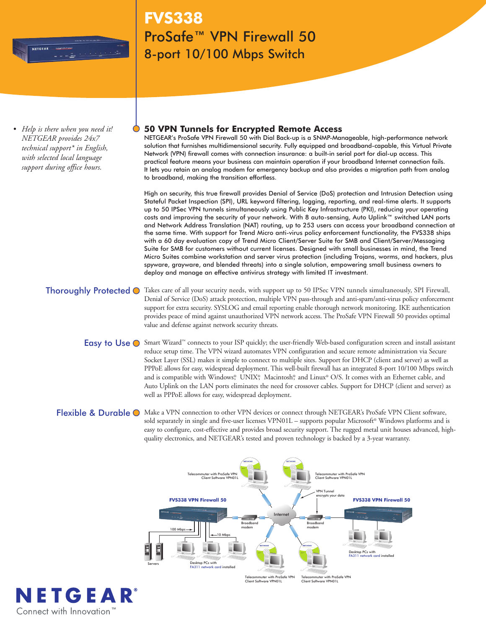

*• Help is there when you need it! NETGEAR provides 24x7 technical support\* in English, with selected local language support during office hours.*

# **FVS338** ProSafe™ VPN Firewall 50 8-port 10/100 Mbps Switch

## **50 VPN Tunnels for Encrypted Remote Access**

NETGEAR's ProSafe VPN Firewall 50 with Dial Back-up is a SNMP-Manageable, high-performance network solution that furnishes multidimensional security. Fully equipped and broadband-capable, this Virtual Private Network (VPN) firewall comes with connection insurance: a built-in serial port for dial-up access. This practical feature means your business can maintain operation if your broadband Internet connection fails. It lets you retain an analog modem for emergency backup and also provides a migration path from analog to broadband, making the transition effortless.

High on security, this true firewall provides Denial of Service (DoS) protection and Intrusion Detection using Stateful Packet Inspection (SPI), URL keyword filtering, logging, reporting, and real-time alerts. It supports up to 50 IPSec VPN tunnels simultaneously using Public Key Infrastructure (PKI), reducing your operating costs and improving the security of your network. With 8 auto-sensing, Auto Uplink™ switched LAN ports and Network Address Translation (NAT) routing, up to 253 users can access your broadband connection at the same time. With support for Trend Micro anti-virus policy enforcement functionality, the FVS338 ships with a 60 day evaluation copy of Trend Micro Client/Server Suite for SMB and Client/Server/Messaging Suite for SMB for customers without current licenses. Designed with small businesses in mind, the Trend Micro Suites combine workstation and server virus protection (including Trojans, worms, and hackers, plus spyware, grayware, and blended threats) into a single solution, empowering small business owners to deploy and manage an effective antivirus strategy with limited IT investment.

Thoroughly Protected  $\odot$  Takes care of all your security needs, with support up to 50 IPSec VPN tunnels simultaneously, SPI Firewall, Denial of Service (DoS) attack protection, multiple VPN pass-through and anti-spam/anti-virus policy enforcement support for extra security. SYSLOG and email reporting enable thorough network monitoring. IKE authentication provides peace of mind against unauthorized VPN network access. The ProSafe VPN Firewall 50 provides optimal value and defense against network security threats.

- Easy to Use ⊙ Smart Wizard™ connects to your ISP quickly; the user-friendly Web-based configuration screen and install assistant reduce setup time. The VPN wizard automates VPN configuration and secure remote administration via Secure Socket Layer (SSL) makes it simple to connect to multiple sites. Support for DHCP (client and server) as well as PPPoE allows for easy, widespread deployment. This well-built firewall has an integrated 8-port 10/100 Mbps switch and is compatible with Windows® UNIX®, Macintosh® and Linux® O/S. It comes with an Ethernet cable, and Auto Uplink on the LAN ports eliminates the need for crossover cables. Support for DHCP (client and server) as well as PPPoE allows for easy, widespread deployment.
- Flexible & Durable O Make a VPN connection to other VPN devices or connect through NETGEAR's ProSafe VPN Client software, sold separately in single and five-user licenses VPN01L – supports popular Microsoft® Windows platforms and is easy to configure, cost-effective and provides broad security support. The rugged metal unit houses advanced, highquality electronics, and NETGEAR's tested and proven technology is backed by a 3-year warranty.